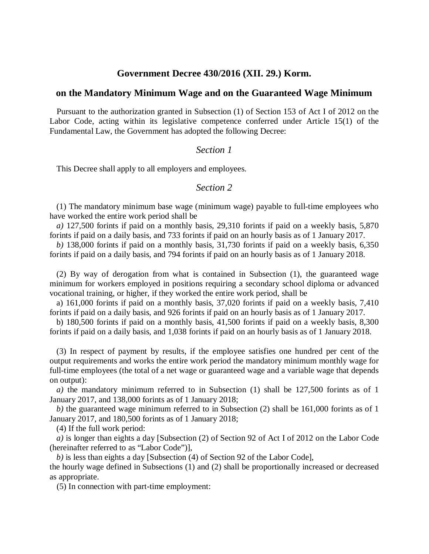# **Government Decree 430/2016 (XII. 29.) Korm.**

#### **on the Mandatory Minimum Wage and on the Guaranteed Wage Minimum**

Pursuant to the authorization granted in Subsection (1) of Section 153 of Act I of 2012 on the Labor Code, acting within its legislative competence conferred under Article 15(1) of the Fundamental Law, the Government has adopted the following Decree:

### *Section 1*

This Decree shall apply to all employers and employees.

### *Section 2*

(1) The mandatory minimum base wage (minimum wage) payable to full-time employees who have worked the entire work period shall be

*a)* 127,500 forints if paid on a monthly basis, 29,310 forints if paid on a weekly basis, 5,870 forints if paid on a daily basis, and 733 forints if paid on an hourly basis as of 1 January 2017.

*b)* 138,000 forints if paid on a monthly basis, 31,730 forints if paid on a weekly basis, 6,350 forints if paid on a daily basis, and 794 forints if paid on an hourly basis as of 1 January 2018.

(2) By way of derogation from what is contained in Subsection (1), the guaranteed wage minimum for workers employed in positions requiring a secondary school diploma or advanced vocational training, or higher, if they worked the entire work period, shall be

a) 161,000 forints if paid on a monthly basis, 37,020 forints if paid on a weekly basis, 7,410 forints if paid on a daily basis, and 926 forints if paid on an hourly basis as of 1 January 2017.

b) 180,500 forints if paid on a monthly basis, 41,500 forints if paid on a weekly basis, 8,300 forints if paid on a daily basis, and 1,038 forints if paid on an hourly basis as of 1 January 2018.

(3) In respect of payment by results, if the employee satisfies one hundred per cent of the output requirements and works the entire work period the mandatory minimum monthly wage for full-time employees (the total of a net wage or guaranteed wage and a variable wage that depends on output):

*a)* the mandatory minimum referred to in Subsection (1) shall be 127,500 forints as of 1 January 2017, and 138,000 forints as of 1 January 2018;

*b)* the guaranteed wage minimum referred to in Subsection (2) shall be 161,000 forints as of 1 January 2017, and 180,500 forints as of 1 January 2018;

(4) If the full work period:

*a)* is longer than eights a day [Subsection (2) of Section 92 of Act I of 2012 on the Labor Code (hereinafter referred to as "Labor Code")],

*b)* is less than eights a day [Subsection (4) of Section 92 of the Labor Code], the hourly wage defined in Subsections (1) and (2) shall be proportionally increased or decreased as appropriate.

(5) In connection with part-time employment: